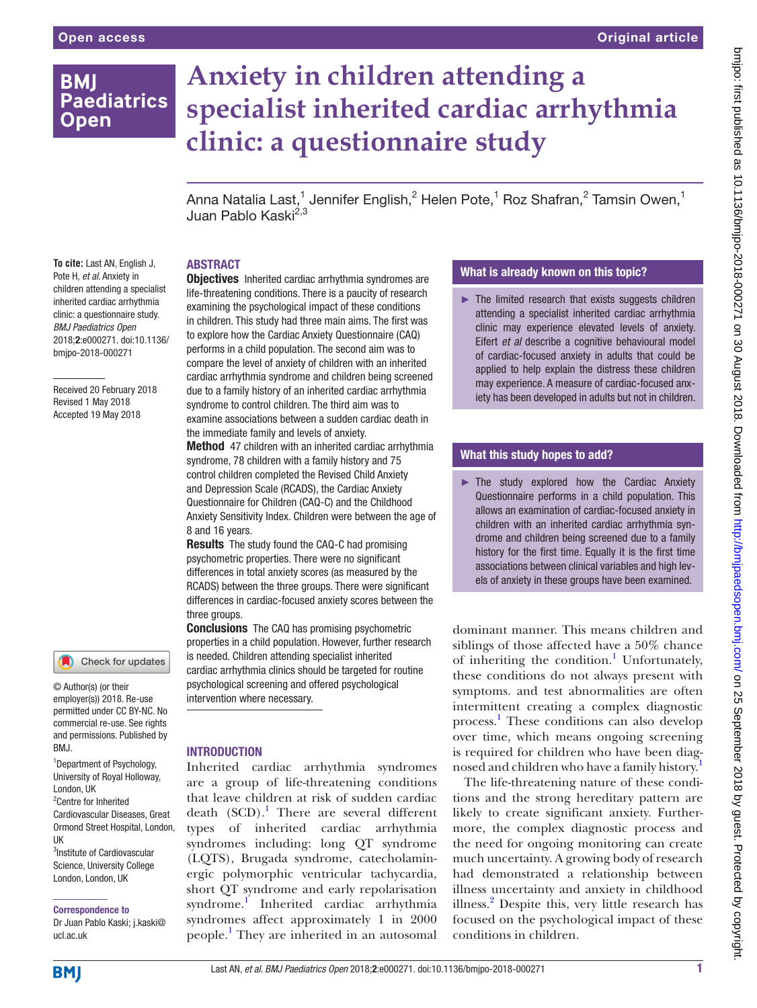# **BMI Paediatrics Open**

# **Anxiety in children attending a specialist inherited cardiac arrhythmia clinic: a questionnaire study**

Anna Natalia Last, $^1$  Jennifer English, $^2$  Helen Pote, $^1$  Roz Shafran, $^2$  Tamsin Owen, $^1$ Juan Pablo Kaski<sup>2,3</sup>

# **ABSTRACT**

**To cite:** Last AN, English J, Pote H, *et al*. Anxiety in children attending a specialist inherited cardiac arrhythmia clinic: a questionnaire study. *BMJ Paediatrics Open* 2018;2:e000271. doi:10.1136/ bmjpo-2018-000271

Received 20 February 2018 Revised 1 May 2018 Accepted 19 May 2018

# Check for updates

© Author(s) (or their employer(s)) 2018. Re-use permitted under CC BY-NC. No commercial re-use. See rights and permissions. Published by RM<sub>J</sub>

<sup>1</sup> Department of Psychology, University of Royal Holloway, London, UK 2 Centre for Inherited Cardiovascular Diseases, Great Ormond Street Hospital, London, UK

<sup>3</sup>Institute of Cardiovascular Science, University College London, London, UK

Correspondence to

Dr Juan Pablo Kaski; j.kaski@ ucl.ac.uk

**Objectives** Inherited cardiac arrhythmia syndromes are life-threatening conditions. There is a paucity of research examining the psychological impact of these conditions in children. This study had three main aims. The first was to explore how the Cardiac Anxiety Questionnaire (CAQ) performs in a child population. The second aim was to compare the level of anxiety of children with an inherited cardiac arrhythmia syndrome and children being screened due to a family history of an inherited cardiac arrhythmia syndrome to control children. The third aim was to examine associations between a sudden cardiac death in the immediate family and levels of anxiety.

Method 47 children with an inherited cardiac arrhythmia syndrome, 78 children with a family history and 75 control children completed the Revised Child Anxiety and Depression Scale (RCADS), the Cardiac Anxiety Questionnaire for Children (CAQ-C) and the Childhood Anxiety Sensitivity Index. Children were between the age of 8 and 16 years.

Results The study found the CAQ-C had promising psychometric properties. There were no significant differences in total anxiety scores (as measured by the RCADS) between the three groups. There were significant differences in cardiac-focused anxiety scores between the three groups.

Conclusions The CAQ has promising psychometric properties in a child population. However, further research is needed. Children attending specialist inherited cardiac arrhythmia clinics should be targeted for routine psychological screening and offered psychological intervention where necessary.

# **INTRODUCTION**

Inherited cardiac arrhythmia syndromes are a group of life-threatening conditions that leave children at risk of sudden cardiac death  $(SCD)$ .<sup>1</sup> There are several different types of inherited cardiac arrhythmia syndromes including: long QT syndrome (LQTS), Brugada syndrome, catecholaminergic polymorphic ventricular tachycardia, short QT syndrome and early repolarisation syndrome.<sup>1</sup> Inherited cardiac arrhythmia syndromes affect approximately 1 in 2000 people.<sup>[1](#page-7-0)</sup> They are inherited in an autosomal

# What is already known on this topic?

► The limited research that exists suggests children attending a specialist inherited cardiac arrhythmia clinic may experience elevated levels of anxiety. Eifert *et al* describe a cognitive behavioural model of cardiac-focused anxiety in adults that could be applied to help explain the distress these children may experience. A measure of cardiac-focused anxiety has been developed in adults but not in children.

# What this study hopes to add?

► The study explored how the Cardiac Anxiety Questionnaire performs in a child population. This allows an examination of cardiac-focused anxiety in children with an inherited cardiac arrhythmia syndrome and children being screened due to a family history for the first time. Equally it is the first time associations between clinical variables and high levels of anxiety in these groups have been examined.

dominant manner. This means children and siblings of those affected have a 50% chance of inheriting the condition.<sup>[1](#page-7-0)</sup> Unfortunately, these conditions do not always present with symptoms. and test abnormalities are often intermittent creating a complex diagnostic process. [1](#page-7-0) These conditions can also develop over time, which means ongoing screening is required for children who have been diag-nosed and children who have a family history.<sup>[1](#page-7-0)</sup>

The life-threatening nature of these conditions and the strong hereditary pattern are likely to create significant anxiety. Furthermore, the complex diagnostic process and the need for ongoing monitoring can create much uncertainty. A growing body of research had demonstrated a relationship between illness uncertainty and anxiety in childhood illness.<sup>[2](#page-7-1)</sup> Despite this, very little research has focused on the psychological impact of these conditions in children.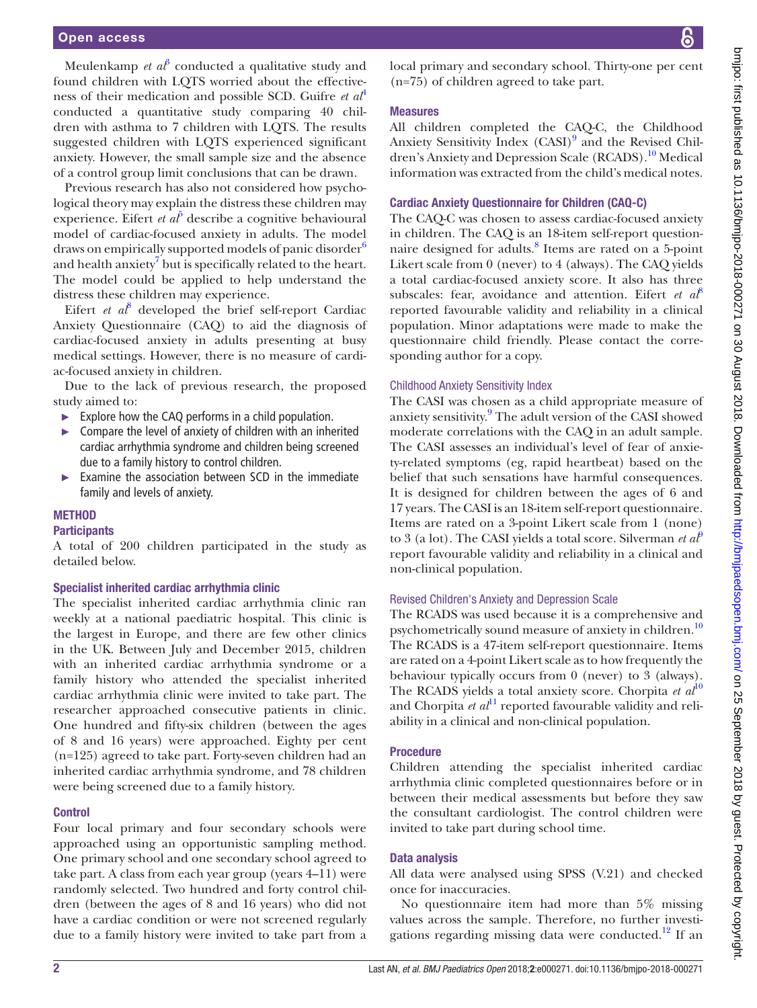Meulenkamp *et*  $a^{\beta}$  conducted a qualitative study and found children with LQTS worried about the effectiveness of their medication and possible SCD. Guifre *et al*[4](#page-7-3) conducted a quantitative study comparing 40 children with asthma to 7 children with LQTS. The results suggested children with LQTS experienced significant anxiety. However, the small sample size and the absence of a control group limit conclusions that can be drawn.

Previous research has also not considered how psychological theory may explain the distress these children may experience. Eifert  $et\ a^{\tilde{p}}$  describe a cognitive behavioural model of cardiac-focused anxiety in adults. The model draws on empirically supported models of panic disorder $6$ and health anxiety<sup>7</sup> but is specifically related to the heart. The model could be applied to help understand the distress these children may experience.

Eifert  $et$   $a<sup>β</sup>$  developed the brief self-report Cardiac Anxiety Questionnaire (CAQ) to aid the diagnosis of cardiac-focused anxiety in adults presenting at busy medical settings. However, there is no measure of cardiac-focused anxiety in children.

Due to the lack of previous research, the proposed study aimed to:

- $\blacktriangleright$  Explore how the CAQ performs in a child population.
- ► Compare the level of anxiety of children with an inherited cardiac arrhythmia syndrome and children being screened due to a family history to control children.
- ► Examine the association between SCD in the immediate family and levels of anxiety.

## **METHOD**

## **Participants**

A total of 200 children participated in the study as detailed below.

# Specialist inherited cardiac arrhythmia clinic

The specialist inherited cardiac arrhythmia clinic ran weekly at a national paediatric hospital. This clinic is the largest in Europe, and there are few other clinics in the UK. Between July and December 2015, children with an inherited cardiac arrhythmia syndrome or a family history who attended the specialist inherited cardiac arrhythmia clinic were invited to take part. The researcher approached consecutive patients in clinic. One hundred and fifty-six children (between the ages of 8 and 16 years) were approached. Eighty per cent (n=125) agreed to take part. Forty-seven children had an inherited cardiac arrhythmia syndrome, and 78 children were being screened due to a family history.

# **Control**

Four local primary and four secondary schools were approached using an opportunistic sampling method. One primary school and one secondary school agreed to take part. A class from each year group (years 4–11) were randomly selected. Two hundred and forty control children (between the ages of 8 and 16 years) who did not have a cardiac condition or were not screened regularly due to a family history were invited to take part from a local primary and secondary school. Thirty-one per cent (n=75) of children agreed to take part.

## Measures

All children completed the CAQ-C, the Childhood Anxiety Sensitivity Index (CASI)<sup>[9](#page-8-4)</sup> and the Revised Chil-dren's Anxiety and Depression Scale (RCADS).<sup>[10](#page-8-5)</sup> Medical information was extracted from the child's medical notes.

#### Cardiac Anxiety Questionnaire for Children (CAQ-C)

The CAQ-C was chosen to assess cardiac-focused anxiety in children. The CAQ is an 18-item self-report question-naire designed for adults.<sup>[8](#page-8-3)</sup> Items are rated on a 5-point Likert scale from 0 (never) to 4 (always). The CAQ yields a total cardiac-focused anxiety score. It also has three subscales: fear, avoidance and attention. Eifert *et*  $a^{\beta}$ reported favourable validity and reliability in a clinical population. Minor adaptations were made to make the questionnaire child friendly. Please contact the corresponding author for a copy.

#### Childhood Anxiety Sensitivity Index

The CASI was chosen as a child appropriate measure of anxiety sensitivity.<sup>[9](#page-8-4)</sup> The adult version of the CASI showed moderate correlations with the CAQ in an adult sample. The CASI assesses an individual's level of fear of anxiety-related symptoms (eg, rapid heartbeat) based on the belief that such sensations have harmful consequences. It is designed for children between the ages of 6 and 17 years. The CASI is an 18-item self-report questionnaire. Items are rated on a 3-point Likert scale from 1 (none) to 3 (a lot). The CASI yields a total score. Silverman *et al*[9](#page-8-4) report favourable validity and reliability in a clinical and non-clinical population.

# Revised Children's Anxiety and Depression Scale

The RCADS was used because it is a comprehensive and psychometrically sound measure of anxiety in children.<sup>[10](#page-8-5)</sup> The RCADS is a 47-item self-report questionnaire. Items are rated on a 4-point Likert scale as to how frequently the behaviour typically occurs from 0 (never) to 3 (always). The RCADS yields a total anxiety score. Chorpita *et al*<sup>[10](#page-8-5)</sup> and Chorpita  $et al^{11}$  $et al^{11}$  $et al^{11}$  reported favourable validity and reliability in a clinical and non-clinical population.

# Procedure

Children attending the specialist inherited cardiac arrhythmia clinic completed questionnaires before or in between their medical assessments but before they saw the consultant cardiologist. The control children were invited to take part during school time.

#### Data analysis

All data were analysed using SPSS (V.21) and checked once for inaccuracies.

No questionnaire item had more than 5% missing values across the sample. Therefore, no further investigations regarding missing data were conducted.<sup>12</sup> If an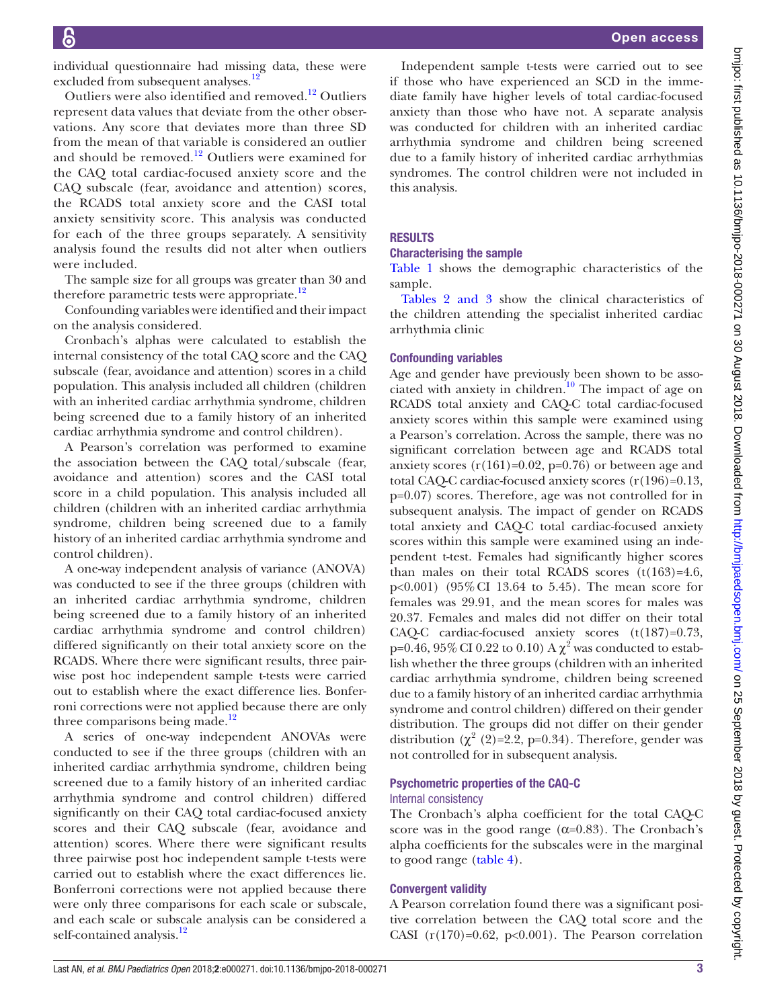individual questionnaire had missing data, these were excluded from subsequent analyses.<sup>[12](#page-8-7)</sup>

Outliers were also identified and removed.<sup>[12](#page-8-7)</sup> Outliers represent data values that deviate from the other observations. Any score that deviates more than three SD from the mean of that variable is considered an outlier and should be removed. $12$  Outliers were examined for the CAQ total cardiac-focused anxiety score and the CAQ subscale (fear, avoidance and attention) scores, the RCADS total anxiety score and the CASI total anxiety sensitivity score. This analysis was conducted for each of the three groups separately. A sensitivity analysis found the results did not alter when outliers were included.

The sample size for all groups was greater than 30 and therefore parametric tests were appropriate.<sup>12</sup>

Confounding variables were identified and their impact on the analysis considered.

Cronbach's alphas were calculated to establish the internal consistency of the total CAQ score and the CAQ subscale (fear, avoidance and attention) scores in a child population. This analysis included all children (children with an inherited cardiac arrhythmia syndrome, children being screened due to a family history of an inherited cardiac arrhythmia syndrome and control children).

A Pearson's correlation was performed to examine the association between the CAQ total/subscale (fear, avoidance and attention) scores and the CASI total score in a child population. This analysis included all children (children with an inherited cardiac arrhythmia syndrome, children being screened due to a family history of an inherited cardiac arrhythmia syndrome and control children).

A one-way independent analysis of variance (ANOVA) was conducted to see if the three groups (children with an inherited cardiac arrhythmia syndrome, children being screened due to a family history of an inherited cardiac arrhythmia syndrome and control children) differed significantly on their total anxiety score on the RCADS. Where there were significant results, three pairwise post hoc independent sample t-tests were carried out to establish where the exact difference lies. Bonferroni corrections were not applied because there are only three comparisons being made. $^{12}$ 

A series of one-way independent ANOVAs were conducted to see if the three groups (children with an inherited cardiac arrhythmia syndrome, children being screened due to a family history of an inherited cardiac arrhythmia syndrome and control children) differed significantly on their CAQ total cardiac-focused anxiety scores and their CAQ subscale (fear, avoidance and attention) scores. Where there were significant results three pairwise post hoc independent sample t-tests were carried out to establish where the exact differences lie. Bonferroni corrections were not applied because there were only three comparisons for each scale or subscale, and each scale or subscale analysis can be considered a self-contained analysis.<sup>[12](#page-8-7)</sup>

Independent sample t-tests were carried out to see if those who have experienced an SCD in the immediate family have higher levels of total cardiac-focused anxiety than those who have not. A separate analysis was conducted for children with an inherited cardiac arrhythmia syndrome and children being screened due to a family history of inherited cardiac arrhythmias syndromes. The control children were not included in this analysis.

#### **RESULTS**

#### Characterising the sample

[Table](#page-3-0) 1 shows the demographic characteristics of the sample.

Tables [2 and 3](#page-4-0) show the clinical characteristics of the children attending the specialist inherited cardiac arrhythmia clinic

#### Confounding variables

Age and gender have previously been shown to be asso-ciated with anxiety in children.<sup>[10](#page-8-5)</sup> The impact of age on RCADS total anxiety and CAQ-C total cardiac-focused anxiety scores within this sample were examined using a Pearson's correlation. Across the sample, there was no significant correlation between age and RCADS total anxiety scores  $(r(161)=0.02, p=0.76)$  or between age and total CAQ-C cardiac-focused anxiety scores (r(196)=0.13, p=0.07) scores. Therefore, age was not controlled for in subsequent analysis. The impact of gender on RCADS total anxiety and CAQ-C total cardiac-focused anxiety scores within this sample were examined using an independent t-test. Females had significantly higher scores than males on their total RCADS scores  $(t(163)=4.6,$ p<0.001) (95%CI 13.64 to 5.45). The mean score for females was 29.91, and the mean scores for males was 20.37. Females and males did not differ on their total CAQ-C cardiac-focused anxiety scores (t(187)=0.73, p=0.46, 95% CI 0.22 to 0.10) A  $\chi^2$  was conducted to establish whether the three groups (children with an inherited cardiac arrhythmia syndrome, children being screened due to a family history of an inherited cardiac arrhythmia syndrome and control children) differed on their gender distribution. The groups did not differ on their gender distribution  $(\chi^2 (2)=2.2, p=0.34)$ . Therefore, gender was not controlled for in subsequent analysis.

#### Psychometric properties of the CAQ-C Internal consistency

The Cronbach's alpha coefficient for the total CAQ-C score was in the good range  $(\alpha=0.83)$ . The Cronbach's alpha coefficients for the subscales were in the marginal to good range [\(table](#page-4-1) 4).

#### Convergent validity

A Pearson correlation found there was a significant positive correlation between the CAQ total score and the CASI  $(r(170)=0.62, p<0.001)$ . The Pearson correlation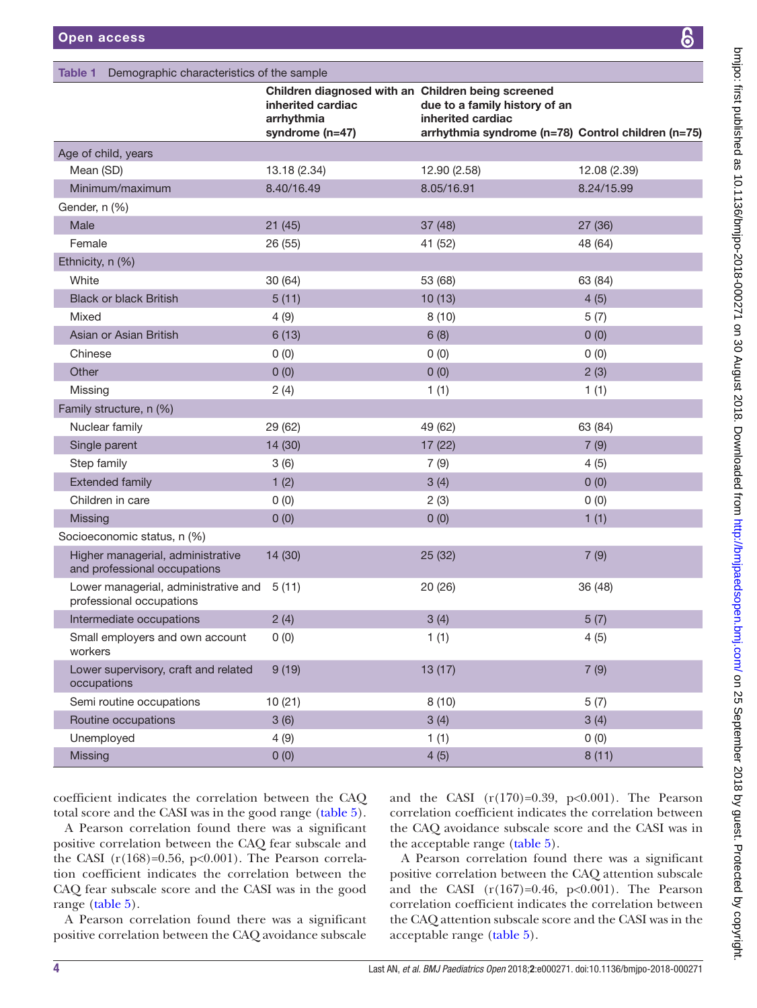<span id="page-3-0"></span>

|                                                                   | Children diagnosed with an Children being screened<br>inherited cardiac<br>arrhythmia<br>syndrome (n=47) | due to a family history of an<br>inherited cardiac<br>arrhythmia syndrome (n=78) Control children (n=75) |              |
|-------------------------------------------------------------------|----------------------------------------------------------------------------------------------------------|----------------------------------------------------------------------------------------------------------|--------------|
| Age of child, years                                               |                                                                                                          |                                                                                                          |              |
| Mean (SD)                                                         | 13.18 (2.34)                                                                                             | 12.90 (2.58)                                                                                             | 12.08 (2.39) |
| Minimum/maximum                                                   | 8.40/16.49                                                                                               | 8.05/16.91                                                                                               | 8.24/15.99   |
| Gender, n (%)                                                     |                                                                                                          |                                                                                                          |              |
| Male                                                              | 21(45)                                                                                                   | 37(48)                                                                                                   | 27 (36)      |
| Female                                                            | 26 (55)                                                                                                  | 41 (52)                                                                                                  | 48 (64)      |
| Ethnicity, n (%)                                                  |                                                                                                          |                                                                                                          |              |
| White                                                             | 30 (64)                                                                                                  | 53 (68)                                                                                                  | 63 (84)      |
| <b>Black or black British</b>                                     | 5(11)                                                                                                    | 10(13)                                                                                                   | 4(5)         |
| Mixed                                                             | 4(9)                                                                                                     | 8(10)                                                                                                    | 5(7)         |
| Asian or Asian British                                            | 6(13)                                                                                                    | 6(8)                                                                                                     | 0(0)         |
| Chinese                                                           | 0(0)                                                                                                     | 0(0)                                                                                                     | 0(0)         |
| Other                                                             | 0(0)                                                                                                     | 0(0)                                                                                                     | 2(3)         |
| Missina                                                           | 2(4)                                                                                                     | 1(1)                                                                                                     | 1(1)         |
| Family structure, n (%)                                           |                                                                                                          |                                                                                                          |              |
| Nuclear family                                                    | 29 (62)                                                                                                  | 49 (62)                                                                                                  | 63 (84)      |
| Single parent                                                     | 14 (30)                                                                                                  | 17(22)                                                                                                   | 7(9)         |
| Step family                                                       | 3(6)                                                                                                     | 7(9)                                                                                                     | 4(5)         |
| <b>Extended family</b>                                            | 1(2)                                                                                                     | 3(4)                                                                                                     | 0(0)         |
| Children in care                                                  | 0(0)                                                                                                     | 2(3)                                                                                                     | 0(0)         |
| Missing                                                           | 0(0)                                                                                                     | 0(0)                                                                                                     | 1(1)         |
| Socioeconomic status, n (%)                                       |                                                                                                          |                                                                                                          |              |
| Higher managerial, administrative<br>and professional occupations | 14(30)                                                                                                   | 25 (32)                                                                                                  | 7(9)         |
| Lower managerial, administrative and<br>professional occupations  | 5(11)                                                                                                    | 20 (26)                                                                                                  | 36 (48)      |
| Intermediate occupations                                          | 2(4)                                                                                                     | 3(4)                                                                                                     | 5(7)         |
| Small employers and own account<br>workers                        | 0(0)                                                                                                     | 1(1)                                                                                                     | 4(5)         |
| Lower supervisory, craft and related<br>occupations               | 9(19)                                                                                                    | 13(17)                                                                                                   | 7(9)         |
| Semi routine occupations                                          | 10(21)                                                                                                   | 8(10)                                                                                                    | 5(7)         |
| Routine occupations                                               | 3(6)                                                                                                     | 3(4)                                                                                                     | 3(4)         |
| Unemployed                                                        | 4(9)                                                                                                     | 1(1)                                                                                                     | 0(0)         |
| Missing                                                           | 0(0)                                                                                                     | 4(5)                                                                                                     | 8(11)        |

bmipo: first published as 10.1136/bmipo-2018-000271 on 30 August 2018. Downloaded from http://bmipaedsopen.bmj.com/ on 25 September 2018 by guest. Protected by copyright. on 15 September 2018 by Guest. Protected by 2018-000271 on 30 August 2018. Downloadded from <http://bmjpaedsopen.bmj.com/> on 25 September 2018 by guest. Protected by copyright

coefficient indicates the correlation between the CAQ total score and the CASI was in the good range [\(table](#page-5-0) 5).

A Pearson correlation found there was a significant positive correlation between the CAQ fear subscale and the CASI  $(r(168)=0.56, p<0.001)$ . The Pearson correlation coefficient indicates the correlation between the CAQ fear subscale score and the CASI was in the good range ([table](#page-5-0) 5).

A Pearson correlation found there was a significant positive correlation between the CAQ avoidance subscale

and the CASI  $(r(170)=0.39, p<0.001)$ . The Pearson correlation coefficient indicates the correlation between the CAQ avoidance subscale score and the CASI was in the acceptable range [\(table](#page-5-0) 5).

A Pearson correlation found there was a significant positive correlation between the CAQ attention subscale and the CASI  $(r(167)=0.46, p<0.001)$ . The Pearson correlation coefficient indicates the correlation between the CAQ attention subscale score and the CASI was in the acceptable range ([table](#page-5-0) 5).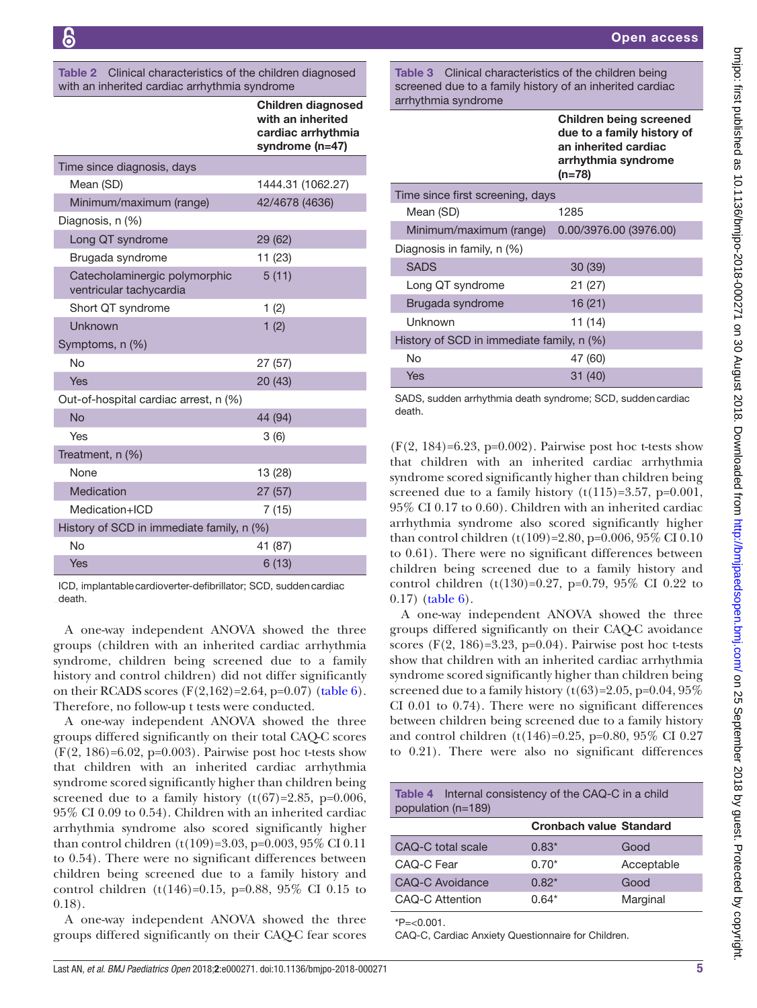<span id="page-4-0"></span>

| <b>Table 2</b> Clinical characteristics of the children diagnosed |
|-------------------------------------------------------------------|
| with an inherited cardiac arrhythmia syndrome                     |

|                                                          | <b>Children diagnosed</b><br>with an inherited<br>cardiac arrhythmia<br>syndrome (n=47) |  |  |  |
|----------------------------------------------------------|-----------------------------------------------------------------------------------------|--|--|--|
| Time since diagnosis, days                               |                                                                                         |  |  |  |
| Mean (SD)                                                | 1444.31 (1062.27)                                                                       |  |  |  |
| Minimum/maximum (range)                                  | 42/4678 (4636)                                                                          |  |  |  |
| Diagnosis, n (%)                                         |                                                                                         |  |  |  |
| Long QT syndrome                                         | 29 (62)                                                                                 |  |  |  |
| Brugada syndrome                                         | 11(23)                                                                                  |  |  |  |
| Catecholaminergic polymorphic<br>ventricular tachycardia | 5(11)                                                                                   |  |  |  |
| Short QT syndrome                                        | 1(2)                                                                                    |  |  |  |
| Unknown                                                  | 1(2)                                                                                    |  |  |  |
| Symptoms, n (%)                                          |                                                                                         |  |  |  |
| No                                                       | 27 (57)                                                                                 |  |  |  |
| Yes                                                      | 20 (43)                                                                                 |  |  |  |
| Out-of-hospital cardiac arrest, n (%)                    |                                                                                         |  |  |  |
| <b>No</b>                                                | 44 (94)                                                                                 |  |  |  |
| Yes                                                      | 3(6)                                                                                    |  |  |  |
| Treatment, n (%)                                         |                                                                                         |  |  |  |
| None                                                     | 13 (28)                                                                                 |  |  |  |
| Medication                                               | 27 (57)                                                                                 |  |  |  |
| Medication+ICD                                           | 7(15)                                                                                   |  |  |  |
| History of SCD in immediate family, n (%)                |                                                                                         |  |  |  |
| No                                                       | 41 (87)                                                                                 |  |  |  |
| Yes                                                      | 6(13)                                                                                   |  |  |  |

ICD, implantablecardioverter-defibrillator; SCD, suddencardiac death.

A one-way independent ANOVA showed the three groups (children with an inherited cardiac arrhythmia syndrome, children being screened due to a family history and control children) did not differ significantly on their RCADS scores  $(F(2,162)=2.64, p=0.07)$  ([table](#page-5-1) 6). Therefore, no follow-up t tests were conducted.

A one-way independent ANOVA showed the three groups differed significantly on their total CAQ-C scores  $(F(2, 186)=6.02, p=0.003)$ . Pairwise post hoc t-tests show that children with an inherited cardiac arrhythmia syndrome scored significantly higher than children being screened due to a family history  $(t(67)=2.85, p=0.006,$ 95% CI 0.09 to 0.54). Children with an inherited cardiac arrhythmia syndrome also scored significantly higher than control children (t(109)=3.03, p=0.003, 95% CI 0.11 to 0.54). There were no significant differences between children being screened due to a family history and control children  $(t(146)=0.15, p=0.88, 95\% \text{ CI } 0.15 \text{ to } 0.15$ 0.18).

A one-way independent ANOVA showed the three groups differed significantly on their CAQ-C fear scores Table 3 Clinical characteristics of the children being screened due to a family history of an inherited cardiac arrhythmia syndrome

|                                           |                                  | Children being screened<br>due to a family history of<br>an inherited cardiac<br>arrhythmia syndrome<br>(n=78) |  |  |  |  |
|-------------------------------------------|----------------------------------|----------------------------------------------------------------------------------------------------------------|--|--|--|--|
|                                           | Time since first screening, days |                                                                                                                |  |  |  |  |
|                                           | Mean (SD)                        | 1285                                                                                                           |  |  |  |  |
|                                           | Minimum/maximum (range)          | 0.00/3976.00 (3976.00)                                                                                         |  |  |  |  |
|                                           | Diagnosis in family, n (%)       |                                                                                                                |  |  |  |  |
|                                           | <b>SADS</b>                      | 30 (39)                                                                                                        |  |  |  |  |
|                                           | Long QT syndrome                 | 21 (27)                                                                                                        |  |  |  |  |
|                                           | Brugada syndrome                 | 16(21)                                                                                                         |  |  |  |  |
|                                           | Unknown                          | 11 (14)                                                                                                        |  |  |  |  |
| History of SCD in immediate family, n (%) |                                  |                                                                                                                |  |  |  |  |
|                                           | No                               | 47 (60)                                                                                                        |  |  |  |  |
|                                           | Yes                              | 31 (40)                                                                                                        |  |  |  |  |
|                                           |                                  |                                                                                                                |  |  |  |  |

SADS, sudden arrhythmia death syndrome; SCD, suddencardiac death.

 $(F(2, 184)=6.23, p=0.002)$ . Pairwise post hoc t-tests show that children with an inherited cardiac arrhythmia syndrome scored significantly higher than children being screened due to a family history  $(t(115)=3.57, p=0.001,$ 95% CI 0.17 to 0.60). Children with an inherited cardiac arrhythmia syndrome also scored significantly higher than control children (t(109)=2.80, p=0.006, 95% CI 0.10 to 0.61). There were no significant differences between children being screened due to a family history and control children (t(130)=0.27, p=0.79, 95% CI 0.22 to 0.17) [\(table](#page-5-1) 6).

A one-way independent ANOVA showed the three groups differed significantly on their CAQ-C avoidance scores  $(F(2, 186)=3.23, p=0.04)$ . Pairwise post hoc t-tests show that children with an inherited cardiac arrhythmia syndrome scored significantly higher than children being screened due to a family history  $(t(63)=2.05, p=0.04, 95\%)$ CI 0.01 to 0.74). There were no significant differences between children being screened due to a family history and control children (t(146)=0.25, p=0.80, 95% CI 0.27 to 0.21). There were also no significant differences

<span id="page-4-1"></span>

| <b>Table 4</b> Internal consistency of the CAQ-C in a child<br>population $(n=189)$ |                         |            |  |  |  |
|-------------------------------------------------------------------------------------|-------------------------|------------|--|--|--|
|                                                                                     | Cronbach value Standard |            |  |  |  |
| CAQ-C total scale                                                                   | $0.83*$                 | Good       |  |  |  |
| CAQ-C Fear                                                                          | $0.70*$                 | Acceptable |  |  |  |
| CAQ-C Avoidance                                                                     | $0.82*$                 | Good       |  |  |  |
| CAQ-C Attention                                                                     | $0.64*$                 | Marginal   |  |  |  |

 $*P=<0.001$ .

CAQ-C, Cardiac Anxiety Questionnaire for Children.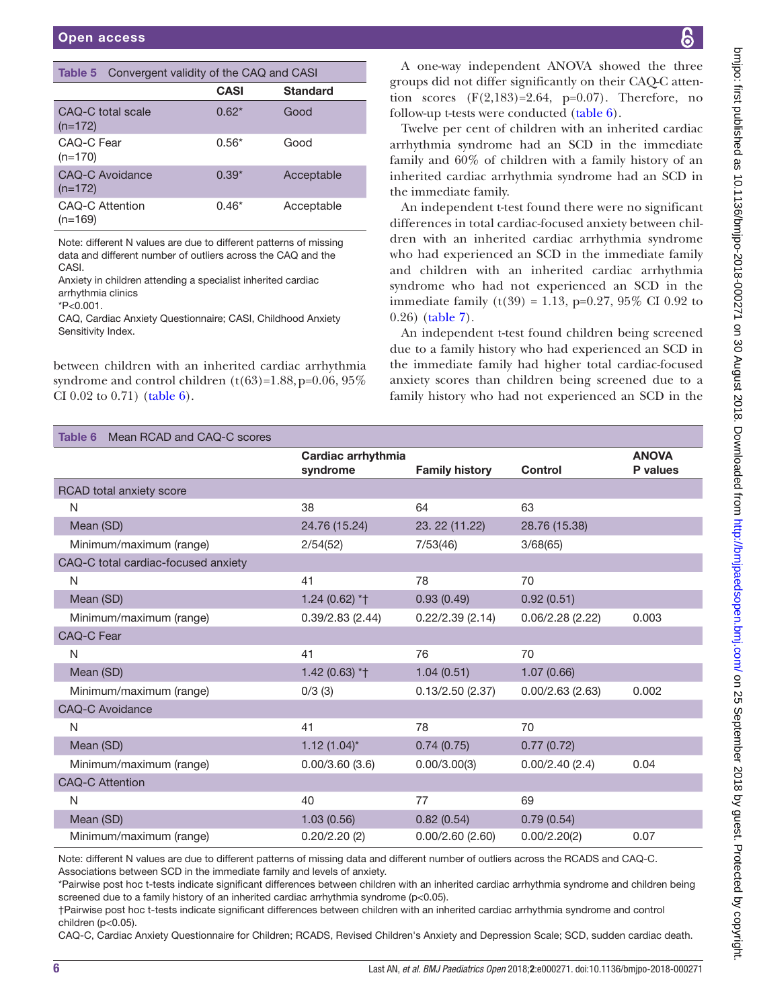<span id="page-5-0"></span>

|                              | <b>Table 5</b> Convergent validity of the CAQ and CASI |             |                 |  |
|------------------------------|--------------------------------------------------------|-------------|-----------------|--|
|                              |                                                        | <b>CASI</b> | <b>Standard</b> |  |
| $(n=172)$                    | CAO-C total scale                                      | $0.62*$     | Good            |  |
| CAQ-C Fear<br>$(n=170)$      |                                                        | $0.56*$     | Good            |  |
| $(n=172)$                    | CAQ-C Avoidance                                        | $0.39*$     | Acceptable      |  |
| CAQ-C Attention<br>$(n=169)$ |                                                        | $0.46*$     | Acceptable      |  |

Note: different N values are due to different patterns of missing data and different number of outliers across the CAQ and the CASI.

Anxiety in children attending a specialist inherited cardiac arrhythmia clinics

\*P<0.001.

CAQ, Cardiac Anxiety Questionnaire; CASI, Childhood Anxiety Sensitivity Index.

between children with an inherited cardiac arrhythmia syndrome and control children  $(t(63)=1.88, p=0.06, 95\%$ CI 0.02 to 0.71) ([table](#page-5-1) 6).

A one-way independent ANOVA showed the three groups did not differ significantly on their CAQ-C attention scores  $(F(2,183)=2.64, p=0.07)$ . Therefore, no follow-up t-tests were conducted [\(table](#page-5-1) 6).

Twelve per cent of children with an inherited cardiac arrhythmia syndrome had an SCD in the immediate family and 60% of children with a family history of an inherited cardiac arrhythmia syndrome had an SCD in the immediate family.

An independent t-test found there were no significant differences in total cardiac-focused anxiety between children with an inherited cardiac arrhythmia syndrome who had experienced an SCD in the immediate family and children with an inherited cardiac arrhythmia syndrome who had not experienced an SCD in the immediate family  $(t(39) = 1.13, p=0.27, 95\% \text{ CI } 0.92 \text{ to}$ 0.26) ([table](#page-6-0) 7).

An independent t-test found children being screened due to a family history who had experienced an SCD in the immediate family had higher total cardiac-focused anxiety scores than children being screened due to a family history who had not experienced an SCD in the

<span id="page-5-1"></span>

| Mean RCAD and CAQ-C scores<br>Table 6 |                                |                       |                 |                          |
|---------------------------------------|--------------------------------|-----------------------|-----------------|--------------------------|
|                                       | Cardiac arrhythmia<br>syndrome | <b>Family history</b> | <b>Control</b>  | <b>ANOVA</b><br>P values |
| RCAD total anxiety score              |                                |                       |                 |                          |
| N                                     | 38                             | 64                    | 63              |                          |
| Mean (SD)                             | 24.76 (15.24)                  | 23. 22 (11.22)        | 28.76 (15.38)   |                          |
| Minimum/maximum (range)               | 2/54(52)                       | 7/53(46)              | 3/68(65)        |                          |
| CAQ-C total cardiac-focused anxiety   |                                |                       |                 |                          |
| N                                     | 41                             | 78                    | 70              |                          |
| Mean (SD)                             | $1.24(0.62)$ * †               | 0.93(0.49)            | 0.92(0.51)      |                          |
| Minimum/maximum (range)               | 0.39/2.83(2.44)                | 0.22/2.39(2.14)       | 0.06/2.28(2.22) | 0.003                    |
| CAQ-C Fear                            |                                |                       |                 |                          |
| N                                     | 41                             | 76                    | 70              |                          |
| Mean (SD)                             | $1.42(0.63)$ *†                | 1.04(0.51)            | 1.07(0.66)      |                          |
| Minimum/maximum (range)               | 0/3(3)                         | 0.13/2.50(2.37)       | 0.00/2.63(2.63) | 0.002                    |
| <b>CAQ-C Avoidance</b>                |                                |                       |                 |                          |
| N                                     | 41                             | 78                    | 70              |                          |
| Mean (SD)                             | $1.12(1.04)$ *                 | 0.74(0.75)            | 0.77(0.72)      |                          |
| Minimum/maximum (range)               | 0.00/3.60(3.6)                 | 0.00/3.00(3)          | 0.00/2.40(2.4)  | 0.04                     |
| <b>CAQ-C Attention</b>                |                                |                       |                 |                          |
| N                                     | 40                             | 77                    | 69              |                          |
| Mean (SD)                             | 1.03(0.56)                     | 0.82(0.54)            | 0.79(0.54)      |                          |
| Minimum/maximum (range)               | 0.20/2.20(2)                   | 0.00/2.60(2.60)       | 0.00/2.20(2)    | 0.07                     |

Note: different N values are due to different patterns of missing data and different number of outliers across the RCADS and CAQ-C. Associations between SCD in the immediate family and levels of anxiety.

\*Pairwise post hoc t-tests indicate significant differences between children with an inherited cardiac arrhythmia syndrome and children being screened due to a family history of an inherited cardiac arrhythmia syndrome (p<0.05).

†Pairwise post hoc t-tests indicate significant differences between children with an inherited cardiac arrhythmia syndrome and control children (p<0.05).

CAQ-C, Cardiac Anxiety Questionnaire for Children; RCADS, Revised Children's Anxiety and Depression Scale; SCD, sudden cardiac death.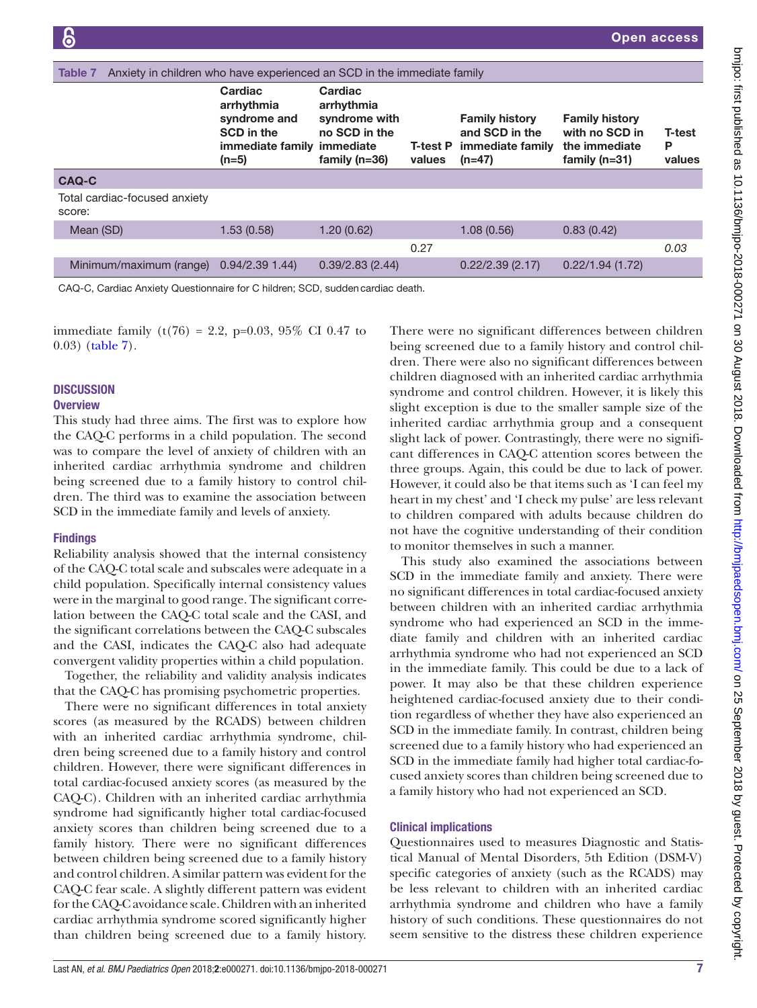<span id="page-6-0"></span>

| Table 7                                 | Anxiety in children who have experienced an SCD in the immediate family                             |                                                                            |                    |                                                                         |                                                                             |                              |
|-----------------------------------------|-----------------------------------------------------------------------------------------------------|----------------------------------------------------------------------------|--------------------|-------------------------------------------------------------------------|-----------------------------------------------------------------------------|------------------------------|
|                                         | Cardiac<br>arrhythmia<br>syndrome and<br><b>SCD</b> in the<br>immediate family immediate<br>$(n=5)$ | Cardiac<br>arrhythmia<br>syndrome with<br>no SCD in the<br>family $(n=36)$ | T-test P<br>values | <b>Family history</b><br>and SCD in the<br>immediate family<br>$(n=47)$ | <b>Family history</b><br>with no SCD in<br>the immediate<br>family $(n=31)$ | <b>T-test</b><br>P<br>values |
| <b>CAQ-C</b>                            |                                                                                                     |                                                                            |                    |                                                                         |                                                                             |                              |
| Total cardiac-focused anxiety<br>score: |                                                                                                     |                                                                            |                    |                                                                         |                                                                             |                              |
| Mean (SD)                               | 1.53(0.58)                                                                                          | 1.20(0.62)                                                                 |                    | 1.08(0.56)                                                              | 0.83(0.42)                                                                  |                              |
|                                         |                                                                                                     |                                                                            | 0.27               |                                                                         |                                                                             | 0.03                         |
| Minimum/maximum (range)                 | $0.94/2.39$ 1.44)                                                                                   | 0.39/2.83(2.44)                                                            |                    | 0.22/2.39(2.17)                                                         | 0.22/1.94(1.72)                                                             |                              |

CAQ-C, Cardiac Anxiety Questionnaire for C hildren; SCD, suddencardiac death.

immediate family  $(t(76) = 2.2, p=0.03, 95\% \text{ CI } 0.47 \text{ to}$ 0.03) ([table](#page-6-0) 7).

# **DISCUSSION**

#### **Overview**

This study had three aims. The first was to explore how the CAQ-C performs in a child population. The second was to compare the level of anxiety of children with an inherited cardiac arrhythmia syndrome and children being screened due to a family history to control children. The third was to examine the association between SCD in the immediate family and levels of anxiety.

#### Findings

Reliability analysis showed that the internal consistency of the CAQ-C total scale and subscales were adequate in a child population. Specifically internal consistency values were in the marginal to good range. The significant correlation between the CAQ-C total scale and the CASI, and the significant correlations between the CAQ-C subscales and the CASI, indicates the CAQ-C also had adequate convergent validity properties within a child population.

Together, the reliability and validity analysis indicates that the CAQ-C has promising psychometric properties.

There were no significant differences in total anxiety scores (as measured by the RCADS) between children with an inherited cardiac arrhythmia syndrome, children being screened due to a family history and control children. However, there were significant differences in total cardiac-focused anxiety scores (as measured by the CAQ-C). Children with an inherited cardiac arrhythmia syndrome had significantly higher total cardiac-focused anxiety scores than children being screened due to a family history. There were no significant differences between children being screened due to a family history and control children. A similar pattern was evident for the CAQ-C fear scale. A slightly different pattern was evident for the CAQ-C avoidance scale. Children with an inherited cardiac arrhythmia syndrome scored significantly higher than children being screened due to a family history.

There were no significant differences between children being screened due to a family history and control children. There were also no significant differences between children diagnosed with an inherited cardiac arrhythmia syndrome and control children. However, it is likely this slight exception is due to the smaller sample size of the inherited cardiac arrhythmia group and a consequent slight lack of power. Contrastingly, there were no significant differences in CAQ-C attention scores between the three groups. Again, this could be due to lack of power. However, it could also be that items such as 'I can feel my heart in my chest' and 'I check my pulse' are less relevant to children compared with adults because children do not have the cognitive understanding of their condition to monitor themselves in such a manner.

This study also examined the associations between SCD in the immediate family and anxiety. There were no significant differences in total cardiac-focused anxiety between children with an inherited cardiac arrhythmia syndrome who had experienced an SCD in the immediate family and children with an inherited cardiac arrhythmia syndrome who had not experienced an SCD in the immediate family. This could be due to a lack of power. It may also be that these children experience heightened cardiac-focused anxiety due to their condition regardless of whether they have also experienced an SCD in the immediate family. In contrast, children being screened due to a family history who had experienced an SCD in the immediate family had higher total cardiac-focused anxiety scores than children being screened due to a family history who had not experienced an SCD.

#### Clinical implications

Questionnaires used to measures Diagnostic and Statistical Manual of Mental Disorders, 5th Edition (DSM-V) specific categories of anxiety (such as the RCADS) may be less relevant to children with an inherited cardiac arrhythmia syndrome and children who have a family history of such conditions. These questionnaires do not seem sensitive to the distress these children experience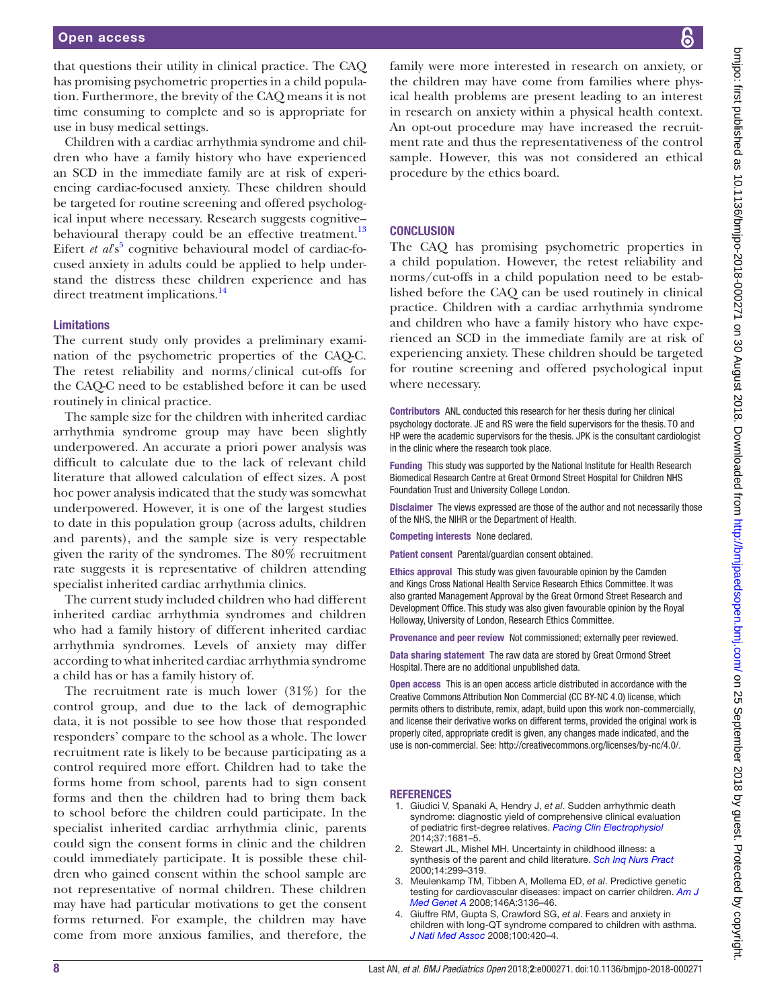#### Open access

that questions their utility in clinical practice. The CAQ has promising psychometric properties in a child population. Furthermore, the brevity of the CAQ means it is not time consuming to complete and so is appropriate for use in busy medical settings.

Children with a cardiac arrhythmia syndrome and children who have a family history who have experienced an SCD in the immediate family are at risk of experiencing cardiac-focused anxiety. These children should be targeted for routine screening and offered psychological input where necessary. Research suggests cognitive– behavioural therapy could be an effective treatment.<sup>13</sup> Eifert *et al*<sup>[5](#page-8-0)</sup> cognitive behavioural model of cardiac-focused anxiety in adults could be applied to help understand the distress these children experience and has direct treatment implications.<sup>[14](#page-8-9)</sup>

#### Limitations

The current study only provides a preliminary examination of the psychometric properties of the CAQ-C. The retest reliability and norms/clinical cut-offs for the CAQ-C need to be established before it can be used routinely in clinical practice.

The sample size for the children with inherited cardiac arrhythmia syndrome group may have been slightly underpowered. An accurate a priori power analysis was difficult to calculate due to the lack of relevant child literature that allowed calculation of effect sizes. A post hoc power analysis indicated that the study was somewhat underpowered. However, it is one of the largest studies to date in this population group (across adults, children and parents), and the sample size is very respectable given the rarity of the syndromes. The 80% recruitment rate suggests it is representative of children attending specialist inherited cardiac arrhythmia clinics.

The current study included children who had different inherited cardiac arrhythmia syndromes and children who had a family history of different inherited cardiac arrhythmia syndromes. Levels of anxiety may differ according to what inherited cardiac arrhythmia syndrome a child has or has a family history of.

The recruitment rate is much lower (31%) for the control group, and due to the lack of demographic data, it is not possible to see how those that responded responders' compare to the school as a whole. The lower recruitment rate is likely to be because participating as a control required more effort. Children had to take the forms home from school, parents had to sign consent forms and then the children had to bring them back to school before the children could participate. In the specialist inherited cardiac arrhythmia clinic, parents could sign the consent forms in clinic and the children could immediately participate. It is possible these children who gained consent within the school sample are not representative of normal children. These children may have had particular motivations to get the consent forms returned. For example, the children may have come from more anxious families, and therefore, the

family were more interested in research on anxiety, or the children may have come from families where physical health problems are present leading to an interest in research on anxiety within a physical health context. An opt-out procedure may have increased the recruitment rate and thus the representativeness of the control sample. However, this was not considered an ethical procedure by the ethics board.

#### **CONCLUSION**

The CAQ has promising psychometric properties in a child population. However, the retest reliability and norms/cut-offs in a child population need to be established before the CAQ can be used routinely in clinical practice. Children with a cardiac arrhythmia syndrome and children who have a family history who have experienced an SCD in the immediate family are at risk of experiencing anxiety. These children should be targeted for routine screening and offered psychological input where necessary.

Contributors ANL conducted this research for her thesis during her clinical psychology doctorate. JE and RS were the field supervisors for the thesis. TO and HP were the academic supervisors for the thesis. JPK is the consultant cardiologist in the clinic where the research took place.

Funding This study was supported by the National Institute for Health Research Biomedical Research Centre at Great Ormond Street Hospital for Children NHS Foundation Trust and University College London.

Disclaimer The views expressed are those of the author and not necessarily those of the NHS, the NIHR or the Department of Health.

Competing interests None declared.

Patient consent Parental/guardian consent obtained.

Ethics approval This study was given favourable opinion by the Camden and Kings Cross National Health Service Research Ethics Committee. It was also granted Management Approval by the Great Ormond Street Research and Development Office. This study was also given favourable opinion by the Royal Holloway, University of London, Research Ethics Committee.

Provenance and peer review Not commissioned; externally peer reviewed.

Data sharing statement The raw data are stored by Great Ormond Street Hospital. There are no additional unpublished data.

Open access This is an open access article distributed in accordance with the Creative Commons Attribution Non Commercial (CC BY-NC 4.0) license, which permits others to distribute, remix, adapt, build upon this work non-commercially, and license their derivative works on different terms, provided the original work is properly cited, appropriate credit is given, any changes made indicated, and the use is non-commercial. See: <http://creativecommons.org/licenses/by-nc/4.0/>.

#### **REFERENCES**

- <span id="page-7-0"></span>1. Giudici V, Spanaki A, Hendry J, *et al*. Sudden arrhythmic death syndrome: diagnostic yield of comprehensive clinical evaluation of pediatric first-degree relatives. *[Pacing Clin Electrophysiol](http://dx.doi.org/10.1111/pace.12479)* 2014;37:1681–5.
- <span id="page-7-1"></span>2. Stewart JL, Mishel MH. Uncertainty in childhood illness: a synthesis of the parent and child literature. *[Sch Inq Nurs Pract](http://www.ncbi.nlm.nih.gov/pubmed/11372189)* 2000;14:299–319.
- <span id="page-7-2"></span>3. Meulenkamp TM, Tibben A, Mollema ED, *et al*. Predictive genetic testing for cardiovascular diseases: impact on carrier children. *[Am J](http://dx.doi.org/10.1002/ajmg.a.32592)  [Med Genet A](http://dx.doi.org/10.1002/ajmg.a.32592)* 2008;146A:3136–46.
- <span id="page-7-3"></span>4. Giuffre RM, Gupta S, Crawford SG, *et al*. Fears and anxiety in children with long-QT syndrome compared to children with asthma. *[J Natl Med Assoc](http://www.ncbi.nlm.nih.gov/pubmed/18481481)* 2008;100:420–4.